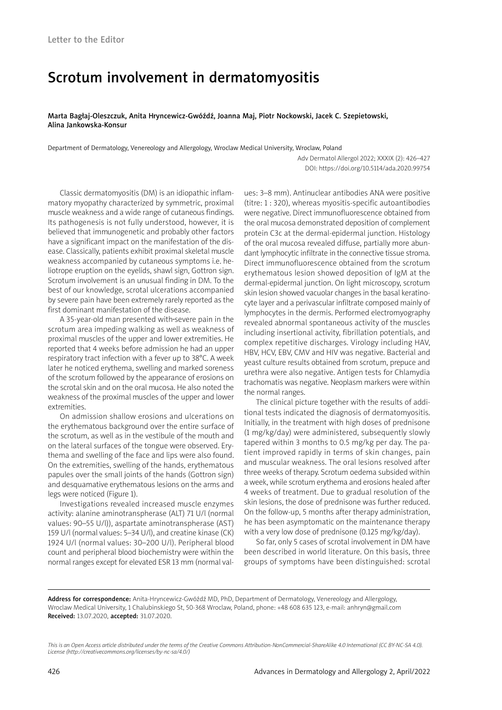## Scrotum involvement in dermatomyositis

Marta Bagłaj-Oleszczuk, Anita Hryncewicz-Gwóźdź, Joanna Maj, Piotr Nockowski, Jacek C. Szepietowski, Alina Jankowska-Konsur

Department of Dermatology, Venereology and Allergology, Wroclaw Medical University, Wroclaw, Poland

Adv Dermatol Allergol 2022; XXXIX (2): 426–427 DOI: https://doi.org/10.5114/ada.2020.99754

Classic dermatomyositis (DM) is an idiopathic inflammatory myopathy characterized by symmetric, proximal muscle weakness and a wide range of cutaneous findings. Its pathogenesis is not fully understood, however, it is believed that immunogenetic and probably other factors have a significant impact on the manifestation of the disease. Classically, patients exhibit proximal skeletal muscle weakness accompanied by cutaneous symptoms i.e. heliotrope eruption on the eyelids, shawl sign, Gottron sign. Scrotum involvement is an unusual finding in DM. To the best of our knowledge, scrotal ulcerations accompanied by severe pain have been extremely rarely reported as the first dominant manifestation of the disease.

A 35-year-old man presented with-severe pain in the scrotum area impeding walking as well as weakness of proximal muscles of the upper and lower extremities. He reported that 4 weeks before admission he had an upper respiratory tract infection with a fever up to 38°C. A week later he noticed erythema, swelling and marked soreness of the scrotum followed by the appearance of erosions on the scrotal skin and on the oral mucosa. He also noted the weakness of the proximal muscles of the upper and lower extremities.

On admission shallow erosions and ulcerations on the erythematous background over the entire surface of the scrotum, as well as in the vestibule of the mouth and on the lateral surfaces of the tongue were observed. Erythema and swelling of the face and lips were also found. On the extremities, swelling of the hands, erythematous papules over the small joints of the hands (Gottron sign) and desquamative erythematous lesions on the arms and legs were noticed (Figure 1).

Investigations revealed increased muscle enzymes activity: alanine aminotranspherase (ALT) 71 U/l (normal values: 90–55 U/l)), aspartate aminotranspherase (AST) 159 U/l (normal values: 5–34 U/l), and creatine kinase (CK) 1924 U/l (normal values: 30–200 U/l). Peripheral blood count and peripheral blood biochemistry were within the normal ranges except for elevated ESR 13 mm (normal values: 3–8 mm). Antinuclear antibodies ANA were positive (titre: 1 : 320), whereas myositis-specific autoantibodies were negative. Direct immunofluorescence obtained from the oral mucosa demonstrated deposition of complement protein C3c at the dermal-epidermal junction. Histology of the oral mucosa revealed diffuse, partially more abundant lymphocytic infiltrate in the connective tissue stroma. Direct immunofluorescence obtained from the scrotum erythematous lesion showed deposition of IgM at the dermal-epidermal junction. On light microscopy, scrotum skin lesion showed vacuolar changes in the basal keratinocyte layer and a perivascular infiltrate composed mainly of lymphocytes in the dermis. Performed electromyography revealed abnormal spontaneous activity of the muscles including insertional activity, fibrillation potentials, and complex repetitive discharges. Virology including HAV, HBV, HCV, EBV, CMV and HIV was negative. Bacterial and yeast culture results obtained from scrotum, prepuce and urethra were also negative. Antigen tests for Chlamydia trachomatis was negative. Neoplasm markers were within the normal ranges.

The clinical picture together with the results of additional tests indicated the diagnosis of dermatomyositis. Initially, in the treatment with high doses of prednisone (1 mg/kg/day) were administered, subsequently slowly tapered within 3 months to 0.5 mg/kg per day. The patient improved rapidly in terms of skin changes, pain and muscular weakness. The oral lesions resolved after three weeks of therapy. Scrotum oedema subsided within a week, while scrotum erythema and erosions healed after 4 weeks of treatment. Due to gradual resolution of the skin lesions, the dose of prednisone was further reduced. On the follow-up, 5 months after therapy administration, he has been asymptomatic on the maintenance therapy with a very low dose of prednisone (0.125 mg/kg/day).

So far, only 5 cases of scrotal involvement in DM have been described in world literature. On this basis, three groups of symptoms have been distinguished: scrotal

Address for correspondence: Anita-Hryncewicz-Gwóźdź MD, PhD, Department of Dermatology, Venereology and Allergology, Wroclaw Medical University, 1 Chalubinskiego St, 50-368 Wroclaw, Poland, phone: +48 608 635 123, e-mail: anhryn@gmail.com Received: 13.07.2020, accepted: 31.07.2020.

*This is an Open Access article distributed under the terms of the Creative Commons Attribution-NonCommercial-ShareAlike 4.0 International (CC BY-NC-SA 4.0). License (http://creativecommons.org/licenses/by-nc-sa/4.0/)*